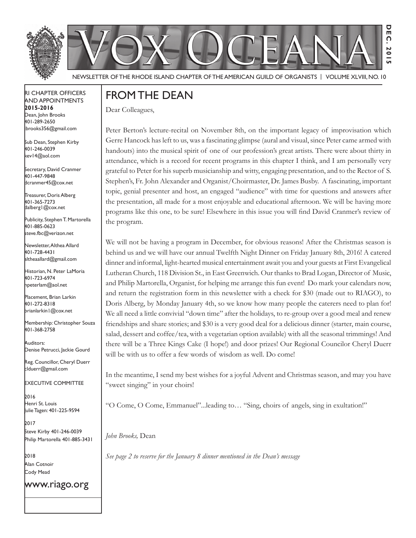



**Dec** 

Newsletter of the Rhode Island Chapter of the American Guild of OrganistS | Volume XLviii, No. 10

#### RI Chapter Officers and Appointments **2015-2016** Dean, John Brooks 401-289-2650 jbrooks356@gmail.com

Sub Dean, Stephen Kirby 401-246-0039 kev14@aol.com

Secretary, David Cranmer 401-447-9848 dcranmer45@cox.net

Treasurer, Doris Alberg 401-365-7273 dalberg1@cox.net

I Publicity, Stephen T. Martorella 401-885-0623 steve.fbc@verizon.net

Newsletter, Althea Allard 401-728-4431 altheaallard@gmail.com

Historian, N. Peter LaMoria 401-723-6974 npeterlam@aol.net

Placement, Brian Larkin 401-272-8318 brianlarkin1@cox.net

Membership: Christopher Souza 401-368-2758

Auditors: Denise Petrucci, Jackie Gourd

Reg. Councillor, Cheryl Duerr clduerr@gmail.com

Executive Committee

2016 Henri St. Louis Julie Tagen: 401-225-9594

2017 Steve Kirby 401-246-0039 Philip Martorella 401-885-3431

2018 Alan Cotnoir Cody Mead

www.riago.org

## From the Dean

Dear Colleagues,

Peter Berton's lecture-recital on November 8th, on the important legacy of improvisation which Gerre Hancock has left to us, was a fascinating glimpse (aural and visual, since Peter came armed with handouts) into the musical spirit of one of our profession's great artists. There were about thirty in attendance, which is a record for recent programs in this chapter I think, and I am personally very grateful to Peter for his superb musicianship and witty, engaging presentation, and to the Rector of S. Stephen's, Fr. John Alexander and Organist/Choirmaster, Dr. James Busby. A fascinating, important topic, genial presenter and host, an engaged "audience" with time for questions and answers after the presentation, all made for a most enjoyable and educational afternoon. We will be having more programs like this one, to be sure! Elsewhere in this issue you will find David Cranmer's review of the program.

We will not be having a program in December, for obvious reasons! After the Christmas season is behind us and we will have our annual Twelfth Night Dinner on Friday January 8th, 2016! A catered dinner and informal, light-hearted musical entertainment await you and your guests at First Evangelical Lutheran Church, 118 Division St., in East Greenwich. Our thanks to Brad Logan, Director of Music, and Philip Martorella, Organist, for helping me arrange this fun event! Do mark your calendars now, and return the registration form in this newsletter with a check for \$30 (made out to RIAGO), to Doris Alberg, by Monday January 4th, so we know how many people the caterers need to plan for! We all need a little convivial "down time" after the holidays, to re-group over a good meal and renew friendships and share stories; and \$30 is a very good deal for a delicious dinner (starter, main course, salad, dessert and coffee/tea, with a vegetarian option available) with all the seasonal trimmings! And there will be a Three Kings Cake (I hope!) and door prizes! Our Regional Councilor Cheryl Duerr will be with us to offer a few words of wisdom as well. Do come!

In the meantime, I send my best wishes for a joyful Advent and Christmas season, and may you have "sweet singing" in your choirs!

"O Come, O Come, Emmanuel"...leading to… "Sing, choirs of angels, sing in exultation!"

*John Brooks,* Dean

*See page 2 to reserve for the January 8 dinner mentioned in the Dean's message*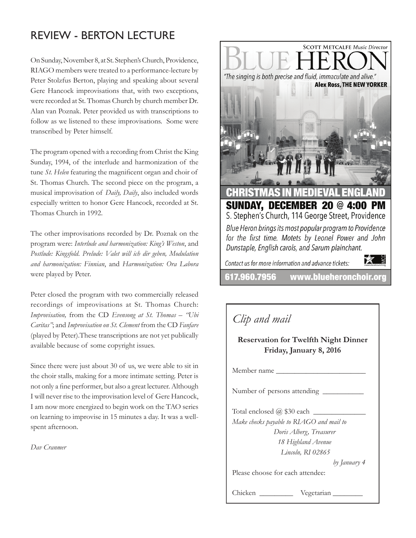## Review - Berton Lecture

On Sunday, November 8, at St. Stephen's Church, Providence, RIAGO members were treated to a performance-lecture by Peter Stolzfus Berton, playing and speaking about several Gere Hancock improvisations that, with two exceptions, were recorded at St. Thomas Church by church member Dr. Alan van Poznak. Peter provided us with transcriptions to follow as we listened to these improvisations. Some were transcribed by Peter himself.

The program opened with a recording from Christ the King Sunday, 1994, of the interlude and harmonization of the tune *St. Helen* featuring the magnificent organ and choir of St. Thomas Church. The second piece on the program, a musical improvisation of *Daily, Daily*, also included words especially written to honor Gere Hancock, recorded at St. Thomas Church in 1992.

The other improvisations recorded by Dr. Poznak on the program were: *Interlude and harmonization: King's Weston*, and *Postlude: Kingsfold*. *Prelude: Valet will ich dir geben, Modulation and harmonization: Finnian*, and *Harmonization: Ora Labora*  were played by Peter.

Peter closed the program with two commercially released recordings of improvisations at St. Thomas Church: *Improvisation,* from the CD *Evensong at St. Thomas – "Ubi Caritas"*; and *Improvisation on St. Clement* from the CD *Fanfare* (played by Peter).These transcriptions are not yet publically available because of some copyright issues.

Since there were just about 30 of us, we were able to sit in the choir stalls, making for a more intimate setting. Peter is not only a fine performer, but also a great lecturer. Although I will never rise to the improvisation level of Gere Hancock, I am now more energized to begin work on the TAO series on learning to improvise in 15 minutes a day. It was a wellspent afternoon.

*Dav Cranmer*



## *Clip and mail*

**Reservation for Twelfth Night Dinner Friday, January 8, 2016**

Member name

Number of persons attending \_\_\_\_\_\_\_\_\_\_\_

Total enclosed  $@$  \$30 each  $\_\_$  *Make checks payable to RIAGO and mail to Doris Alberg, Treasurer 18 Highland Avenue Lincoln, RI 02865* 

 *by January 4* Please choose for each attendee:

Chicken \_\_\_\_\_\_\_\_\_\_\_ Vegetarian